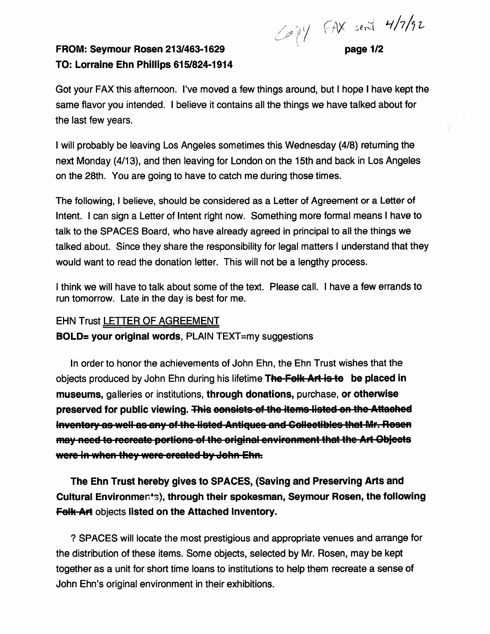$4/7/9$ 

## FROM: Seymour Rosen 213/463-1629 TO: Lorraine Ehn Phillips 615/824-1914

page 1/2

Got your FAX this afternoon. I've moved a few things around, but I hope I have kept the same flavor you intended. I believe it contains all the things we have talked about for the last few years.

I will probably be leaving Los Angeles sometimes this Wednesday (4/8) returning the next Monday (4/13), and then leaving for London on the 15th and back in Los Angeles on the 28th. You are going to have to catch me during those times.

The following, I believe, should be considered as a Letter of Agreement or a Letter of Intent. I can sign a Letter of Intent right now. Something more formal means I have to talk to the SPACES Board, who have already agreed in principal to all the things we talked about. Since they share the responsibility for legal matters I understand that they would want to read the donation letter. This will not be a lengthy process.

I think we will have to talk about some of the text. Please call. I have a few errands to run tomorrow. Late in the day is best for me.

## EHN Trust LETTER OF AGREEMENT

BOLD= your original words, PLAIN TEXT=my suggestions

In order to honor the achievements of John Ehn, the Ehn Trust wishes that the objects produced by John Ehn during his lifetime The Folk Art is to be placed in museums, galleries or institutions, through donations, purchase, or otherwise preserved for public viewing. This consists of the items listed on the Attached Inventory as well as any of the listed Antiques and Collectibles that Mr. Rosen may need to recreate portions of the original environment that the Art Objects were in when they were created by John Ehn.

The Ehn Trust hereby gives to SPACES, (Saving and Preserving Arts and Cultural Environments), through their spokesman, Seymour Rosen, the following Folk Art objects listed on the Attached Inventory.

? SPACES will locate the most prestigious and appropriate venues and arrange for the distribution of these items. Some objects, selected by Mr. Rosen, may be kept together as a unit for short time loans to institutions to help them recreate a sense of John Ehn's original environment in their exhibitions.